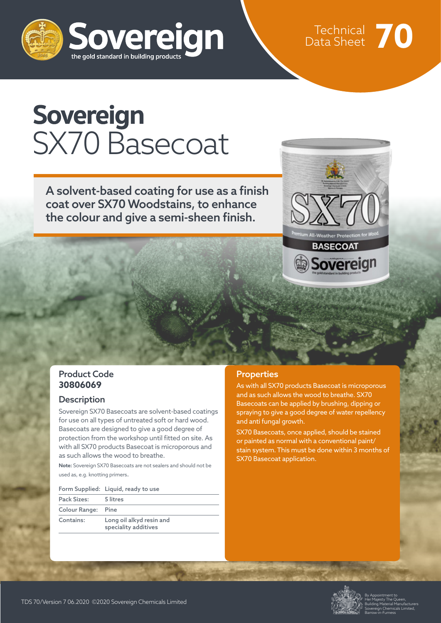

Technical Data Sheet **70**

## **Sovereign** SX70 Basecoat

A solvent-based coating for use as a finish coat over SX70 Woodstains, to enhance the colour and give a semi-sheen finish.



#### Product Code **30806069**

#### **Description**

Sovereign SX70 Basecoats are solvent-based coatings for use on all types of untreated soft or hard wood. Basecoats are designed to give a good degree of protection from the workshop until fitted on site. As with all SX70 products Basecoat is microporous and as such allows the wood to breathe.

**Note:** Sovereign SX70 Basecoats are not sealers and should not be used as, e.g. knotting primers.

#### Form Supplied: Liquid, ready to use

| Pack Sizes:        | 5 litres                                         |
|--------------------|--------------------------------------------------|
| Colour Range: Pine |                                                  |
| Contains:          | Long oil alkyd resin and<br>speciality additives |

#### **Properties**

As with all SX70 products Basecoat is microporous and as such allows the wood to breathe. SX70 Basecoats can be applied by brushing, dipping or spraying to give a good degree of water repellency and anti fungal growth.

SX70 Basecoats, once applied, should be stained or painted as normal with a conventional paint/ stain system. This must be done within 3 months of SX70 Basecoat application.